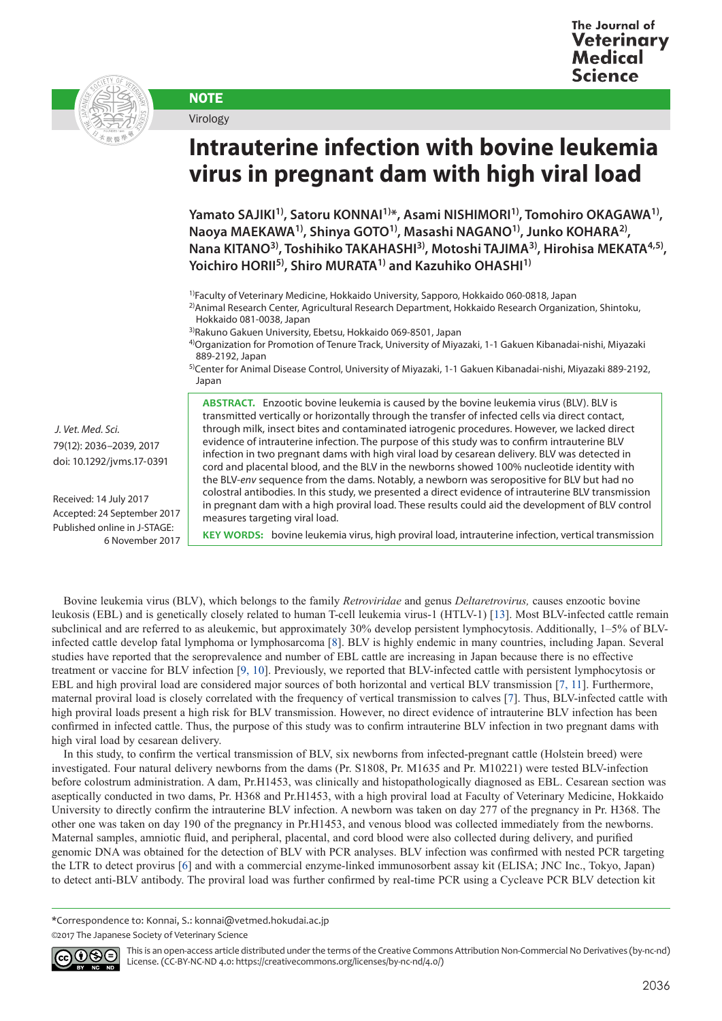

## **NOTE** Virology

## **Intrauterine infection with bovine leukemia virus in pregnant dam with high viral load**

Yamato SAJIKI<sup>1)</sup>, Satoru KONNAI<sup>1)\*</sup>, Asami NISHIMORI<sup>1)</sup>, Tomohiro OKAGAWA<sup>1)</sup>, **Naoya MAEKAWA1), Shinya GOTO1), Masashi NAGANO1), Junko KOHARA2), Nana KITANO3), Toshihiko TAKAHASHI3), Motoshi TAJIMA3), Hirohisa MEKATA4,5), Yoichiro HORII5), Shiro MURATA1) and Kazuhiko OHASHI1)**

1)Faculty of Veterinary Medicine, Hokkaido University, Sapporo, Hokkaido 060-0818, Japan

2)Animal Research Center, Agricultural Research Department, Hokkaido Research Organization, Shintoku, Hokkaido 081-0038, Japan

3)Rakuno Gakuen University, Ebetsu, Hokkaido 069-8501, Japan

4)Organization for Promotion of Tenure Track, University of Miyazaki, 1-1 Gakuen Kibanadai-nishi, Miyazaki 889-2192, Japan

5)Center for Animal Disease Control, University of Miyazaki, 1-1 Gakuen Kibanadai-nishi, Miyazaki 889-2192, Japan

 *J. Vet. Med. Sci.*  79(12): 2036–2039, 2017 doi: 10.1292/jvms.17-0391

Received: 14 July 2017 Accepted: 24 September 2017 Published online in J-STAGE: 6 November 2017 **ABSTRACT.** Enzootic bovine leukemia is caused by the bovine leukemia virus (BLV). BLV is transmitted vertically or horizontally through the transfer of infected cells via direct contact, through milk, insect bites and contaminated iatrogenic procedures. However, we lacked direct evidence of intrauterine infection. The purpose of this study was to confirm intrauterine BLV infection in two pregnant dams with high viral load by cesarean delivery. BLV was detected in cord and placental blood, and the BLV in the newborns showed 100% nucleotide identity with the BLV-*env* sequence from the dams. Notably, a newborn was seropositive for BLV but had no colostral antibodies. In this study, we presented a direct evidence of intrauterine BLV transmission in pregnant dam with a high proviral load. These results could aid the development of BLV control measures targeting viral load.

**KEY WORDS:** bovine leukemia virus, high proviral load, intrauterine infection, vertical transmission

Bovine leukemia virus (BLV), which belongs to the family *Retroviridae* and genus *Deltaretrovirus,* causes enzootic bovine leukosis (EBL) and is genetically closely related to human T-cell leukemia virus-1 (HTLV-1) [\[13\]](#page-3-0). Most BLV-infected cattle remain subclinical and are referred to as aleukemic, but approximately 30% develop persistent lymphocytosis. Additionally, 1–5% of BLVinfected cattle develop fatal lymphoma or lymphosarcoma [[8](#page-3-1)]. BLV is highly endemic in many countries, including Japan. Several studies have reported that the seroprevalence and number of EBL cattle are increasing in Japan because there is no effective treatment or vaccine for BLV infection [\[9, 10\]](#page-3-2). Previously, we reported that BLV-infected cattle with persistent lymphocytosis or EBL and high proviral load are considered major sources of both horizontal and vertical BLV transmission [\[7, 11](#page-3-3)]. Furthermore, maternal proviral load is closely correlated with the frequency of vertical transmission to calves [[7\]](#page-3-3). Thus, BLV-infected cattle with high proviral loads present a high risk for BLV transmission. However, no direct evidence of intrauterine BLV infection has been confirmed in infected cattle. Thus, the purpose of this study was to confirm intrauterine BLV infection in two pregnant dams with high viral load by cesarean delivery.

In this study, to confirm the vertical transmission of BLV, six newborns from infected-pregnant cattle (Holstein breed) were investigated. Four natural delivery newborns from the dams (Pr. S1808, Pr. M1635 and Pr. M10221) were tested BLV-infection before colostrum administration. A dam, Pr.H1453, was clinically and histopathologically diagnosed as EBL. Cesarean section was aseptically conducted in two dams, Pr. H368 and Pr.H1453, with a high proviral load at Faculty of Veterinary Medicine, Hokkaido University to directly confirm the intrauterine BLV infection. A newborn was taken on day 277 of the pregnancy in Pr. H368. The other one was taken on day 190 of the pregnancy in Pr.H1453, and venous blood was collected immediately from the newborns. Maternal samples, amniotic fluid, and peripheral, placental, and cord blood were also collected during delivery, and purified genomic DNA was obtained for the detection of BLV with PCR analyses. BLV infection was confirmed with nested PCR targeting the LTR to detect provirus [\[6](#page-3-4)] and with a commercial enzyme-linked immunosorbent assay kit (ELISA; JNC Inc., Tokyo, Japan) to detect anti-BLV antibody. The proviral load was further confirmed by real-time PCR using a Cycleave PCR BLV detection kit

<sup>©2017</sup> The Japanese Society of Veterinary Science



This is an open-access article distributed under the terms of the Creative Commons Attribution Non-Commercial No Derivatives (by-nc-nd) License. (CC-BY-NC-ND 4.0: <https://creativecommons.org/licenses/by-nc-nd/4.0/>)

<sup>\*</sup>Correspondence to: Konnai, S.: konnai@vetmed.hokudai.ac.jp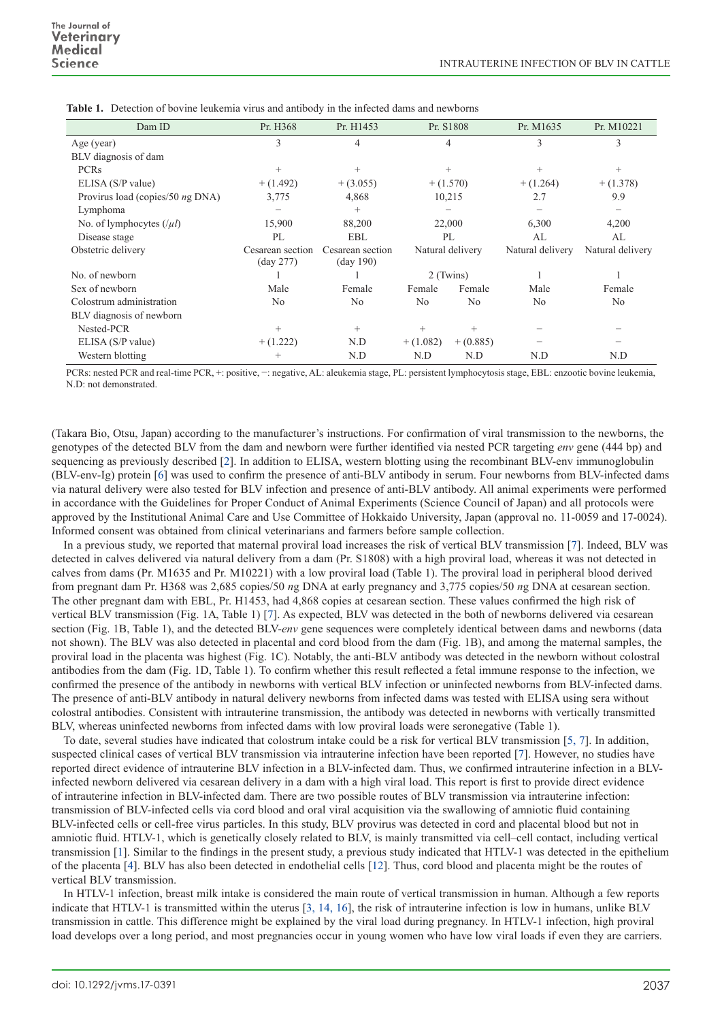| Dam ID                           | Pr. H368                                | Pr. H1453                                       | Pr. S1808        |                | Pr. M1635        | Pr. M10221       |
|----------------------------------|-----------------------------------------|-------------------------------------------------|------------------|----------------|------------------|------------------|
| Age (year)                       | 3                                       |                                                 | 4                |                | 3                | 3                |
| BLV diagnosis of dam             |                                         |                                                 |                  |                |                  |                  |
| <b>PCRs</b>                      | $^{+}$                                  | $^{+}$                                          | $^{+}$           |                | $^{+}$           | $^{+}$           |
| ELISA (S/P value)                | $+(1.492)$                              | $+(3.055)$                                      | $+(1.570)$       |                | $+ (1.264)$      | $+ (1.378)$      |
| Provirus load (copies/50 ng DNA) | 3,775                                   | 4,868                                           | 10,215           |                | 2.7              | 9.9              |
| Lymphoma                         |                                         | $^{+}$                                          |                  |                |                  |                  |
| No. of lymphocytes $( \mu )$     | 15,900                                  | 88,200                                          | 22,000           |                | 6,300            | 4,200            |
| Disease stage                    | PL                                      | EBL                                             | PL               |                | AL               | AL               |
| Obstetric delivery               | Cesarean section<br>$(\text{day } 277)$ | Cesarean section<br>$\frac{(\text{day }190)}{}$ | Natural delivery |                | Natural delivery | Natural delivery |
| No. of newborn                   |                                         |                                                 | 2 (Twins)        |                |                  |                  |
| Sex of newborn                   | Male                                    | Female                                          | Female           | Female         | Male             | Female           |
| Colostrum administration         | No                                      | N <sub>0</sub>                                  | No               | N <sub>0</sub> | N <sub>0</sub>   | N <sub>0</sub>   |
| BLV diagnosis of newborn         |                                         |                                                 |                  |                |                  |                  |
| Nested-PCR                       | $^{+}$                                  | $^{+}$                                          | $^{+}$           | $^{+}$         |                  |                  |
| ELISA (S/P value)                | $+(1.222)$                              | N.D                                             | $+(1.082)$       | $+(0.885)$     |                  |                  |
| Western blotting                 | $^+$                                    | N.D                                             | N.D              | N.D            | N.D              | N.D              |

**Table 1.** Detection of bovine leukemia virus and antibody in the infected dams and newborns

PCRs: nested PCR and real-time PCR, +: positive, -: negative, AL: aleukemia stage, PL: persistent lymphocytosis stage, EBL: enzootic bovine leukemia, N.D: not demonstrated.

(Takara Bio, Otsu, Japan) according to the manufacturer's instructions. For confirmation of viral transmission to the newborns, the genotypes of the detected BLV from the dam and newborn were further identified via nested PCR targeting *env* gene (444 bp) and sequencing as previously described [[2](#page-3-5)]. In addition to ELISA, western blotting using the recombinant BLV-env immunoglobulin (BLV-env-Ig) protein [\[6](#page-3-4)] was used to confirm the presence of anti-BLV antibody in serum. Four newborns from BLV-infected dams via natural delivery were also tested for BLV infection and presence of anti-BLV antibody. All animal experiments were performed in accordance with the Guidelines for Proper Conduct of Animal Experiments (Science Council of Japan) and all protocols were approved by the Institutional Animal Care and Use Committee of Hokkaido University, Japan (approval no. 11-0059 and 17-0024). Informed consent was obtained from clinical veterinarians and farmers before sample collection.

In a previous study, we reported that maternal proviral load increases the risk of vertical BLV transmission [\[7\]](#page-3-3). Indeed, BLV was detected in calves delivered via natural delivery from a dam (Pr. S1808) with a high proviral load, whereas it was not detected in calves from dams (Pr. M1635 and Pr. M10221) with a low proviral load (Table 1). The proviral load in peripheral blood derived from pregnant dam Pr. H368 was 2,685 copies/50 *n*g DNA at early pregnancy and 3,775 copies/50 *n*g DNA at cesarean section. The other pregnant dam with EBL, Pr. H1453, had 4,868 copies at cesarean section. These values confirmed the high risk of vertical BLV transmission (Fig. 1A, Table 1) [[7](#page-3-3)]. As expected, BLV was detected in the both of newborns delivered via cesarean section (Fig. 1B, Table 1), and the detected BLV-*env* gene sequences were completely identical between dams and newborns (data not shown). The BLV was also detected in placental and cord blood from the dam (Fig. 1B), and among the maternal samples, the proviral load in the placenta was highest (Fig. 1C). Notably, the anti-BLV antibody was detected in the newborn without colostral antibodies from the dam (Fig. 1D, Table 1). To confirm whether this result reflected a fetal immune response to the infection, we confirmed the presence of the antibody in newborns with vertical BLV infection or uninfected newborns from BLV-infected dams. The presence of anti-BLV antibody in natural delivery newborns from infected dams was tested with ELISA using sera without colostral antibodies. Consistent with intrauterine transmission, the antibody was detected in newborns with vertically transmitted BLV, whereas uninfected newborns from infected dams with low proviral loads were seronegative (Table 1).

To date, several studies have indicated that colostrum intake could be a risk for vertical BLV transmission [[5, 7](#page-3-6)]. In addition, suspected clinical cases of vertical BLV transmission via intrauterine infection have been reported [\[7](#page-3-3)]. However, no studies have reported direct evidence of intrauterine BLV infection in a BLV-infected dam. Thus, we confirmed intrauterine infection in a BLVinfected newborn delivered via cesarean delivery in a dam with a high viral load. This report is first to provide direct evidence of intrauterine infection in BLV-infected dam. There are two possible routes of BLV transmission via intrauterine infection: transmission of BLV-infected cells via cord blood and oral viral acquisition via the swallowing of amniotic fluid containing BLV-infected cells or cell-free virus particles. In this study, BLV provirus was detected in cord and placental blood but not in amniotic fluid. HTLV-1, which is genetically closely related to BLV, is mainly transmitted via cell–cell contact, including vertical transmission [[1](#page-3-7)]. Similar to the findings in the present study, a previous study indicated that HTLV-1 was detected in the epithelium of the placenta [\[4](#page-3-8)]. BLV has also been detected in endothelial cells [[12](#page-3-9)]. Thus, cord blood and placenta might be the routes of vertical BLV transmission.

In HTLV-1 infection, breast milk intake is considered the main route of vertical transmission in human. Although a few reports indicate that HTLV-1 is transmitted within the uterus [[3, 14, 16\]](#page-3-10), the risk of intrauterine infection is low in humans, unlike BLV transmission in cattle. This difference might be explained by the viral load during pregnancy. In HTLV-1 infection, high proviral load develops over a long period, and most pregnancies occur in young women who have low viral loads if even they are carriers.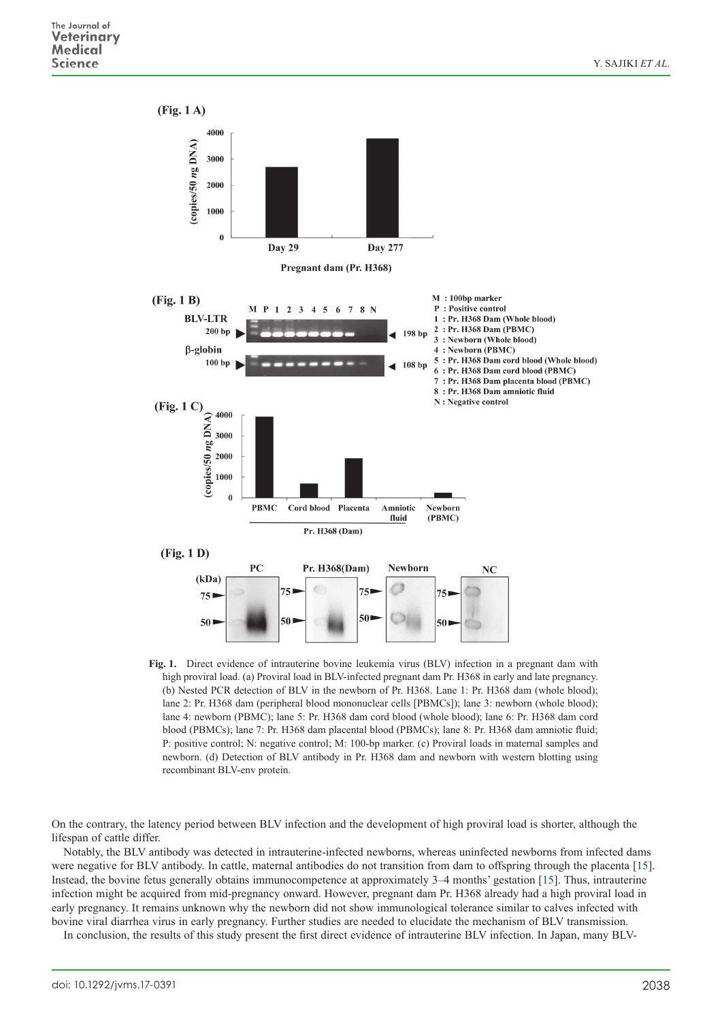

**Fig. 1.** Direct evidence of intrauterine bovine leukemia virus (BLV) infection in a pregnant dam with high proviral load. (a) Proviral load in BLV-infected pregnant dam Pr. H368 in early and late pregnancy. (b) Nested PCR detection of BLV in the newborn of Pr. H368. Lane 1: Pr. H368 dam (whole blood); lane 2: Pr. H368 dam (peripheral blood mononuclear cells [PBMCs]); lane 3: newborn (whole blood); lane 4: newborn (PBMC); lane 5: Pr. H368 dam cord blood (whole blood); lane 6: Pr. H368 dam cord blood (PBMCs); lane 7: Pr. H368 dam placental blood (PBMCs); lane 8: Pr. H368 dam amniotic fluid; P: positive control; N: negative control; M: 100-bp marker. (c) Proviral loads in maternal samples and newborn. (d) Detection of BLV antibody in Pr. H368 dam and newborn with western blotting using recombinant BLV-env protein.

On the contrary, the latency period between BLV infection and the development of high proviral load is shorter, although the lifespan of cattle differ.

Notably, the BLV antibody was detected in intrauterine-infected newborns, whereas uninfected newborns from infected dams were negative for BLV antibody. In cattle, maternal antibodies do not transition from dam to offspring through the placenta [\[15\]](#page-3-11). Instead, the bovine fetus generally obtains immunocompetence at approximately 3–4 months' gestation [\[15\]](#page-3-11). Thus, intrauterine infection might be acquired from mid-pregnancy onward. However, pregnant dam Pr. H368 already had a high proviral load in early pregnancy. It remains unknown why the newborn did not show immunological tolerance similar to calves infected with bovine viral diarrhea virus in early pregnancy. Further studies are needed to elucidate the mechanism of BLV transmission.

In conclusion, the results of this study present the first direct evidence of intrauterine BLV infection. In Japan, many BLV-